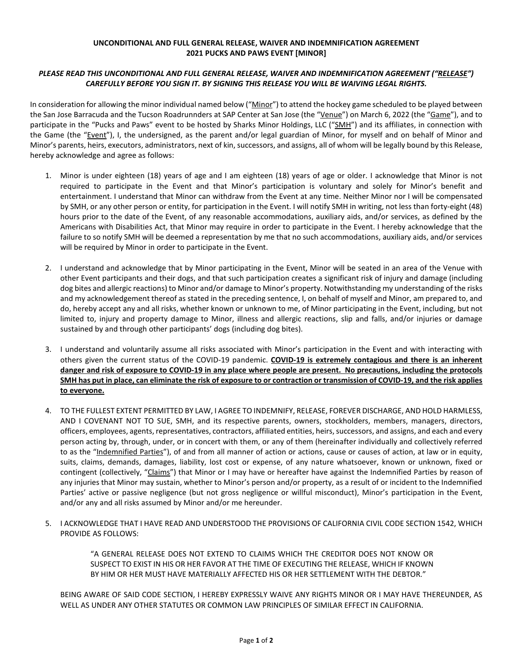## **UNCONDITIONAL AND FULL GENERAL RELEASE, WAIVER AND INDEMNIFICATION AGREEMENT 2021 PUCKS AND PAWS EVENT [MINOR]**

## *PLEASE READ THIS UNCONDITIONAL AND FULL GENERAL RELEASE, WAIVER AND INDEMNIFICATION AGREEMENT ("RELEASE") CAREFULLY BEFORE YOU SIGN IT. BY SIGNING THIS RELEASE YOU WILL BE WAIVING LEGAL RIGHTS.*

In consideration for allowing the minor individual named below ("Minor") to attend the hockey game scheduled to be played between the San Jose Barracuda and the Tucson Roadrunnders at SAP Center at San Jose (the "Venue") on March 6, 2022 (the "Game"), and to participate in the "Pucks and Paws" event to be hosted by Sharks Minor Holdings, LLC ("SMH") and its affiliates, in connection with the Game (the "Event"), I, the undersigned, as the parent and/or legal guardian of Minor, for myself and on behalf of Minor and Minor's parents, heirs, executors, administrators, next of kin, successors, and assigns, all of whom will be legally bound by this Release, hereby acknowledge and agree as follows:

- 1. Minor is under eighteen (18) years of age and I am eighteen (18) years of age or older. I acknowledge that Minor is not required to participate in the Event and that Minor's participation is voluntary and solely for Minor's benefit and entertainment. I understand that Minor can withdraw from the Event at any time. Neither Minor nor I will be compensated by SMH, or any other person or entity, for participation in the Event. I will notify SMH in writing, not less than forty-eight (48) hours prior to the date of the Event, of any reasonable accommodations, auxiliary aids, and/or services, as defined by the Americans with Disabilities Act, that Minor may require in order to participate in the Event. I hereby acknowledge that the failure to so notify SMH will be deemed a representation by me that no such accommodations, auxiliary aids, and/or services will be required by Minor in order to participate in the Event.
- 2. I understand and acknowledge that by Minor participating in the Event, Minor will be seated in an area of the Venue with other Event participants and their dogs, and that such participation creates a significant risk of injury and damage (including dog bites and allergic reactions) to Minor and/or damage to Minor's property. Notwithstanding my understanding of the risks and my acknowledgement thereof as stated in the preceding sentence, I, on behalf of myself and Minor, am prepared to, and do, hereby accept any and all risks, whether known or unknown to me, of Minor participating in the Event, including, but not limited to, injury and property damage to Minor, illness and allergic reactions, slip and falls, and/or injuries or damage sustained by and through other participants' dogs (including dog bites).
- 3. I understand and voluntarily assume all risks associated with Minor's participation in the Event and with interacting with others given the current status of the COVID-19 pandemic. **COVID-19 is extremely contagious and there is an inherent danger and risk of exposure to COVID-19 in any place where people are present. No precautions, including the protocols SMH has put in place, can eliminate the risk of exposure to or contraction or transmission of COVID-19, and the risk applies to everyone.**
- 4. TO THE FULLEST EXTENT PERMITTED BY LAW, I AGREE TO INDEMNIFY, RELEASE, FOREVER DISCHARGE, AND HOLD HARMLESS, AND I COVENANT NOT TO SUE, SMH, and its respective parents, owners, stockholders, members, managers, directors, officers, employees, agents, representatives, contractors, affiliated entities, heirs, successors, and assigns, and each and every person acting by, through, under, or in concert with them, or any of them (hereinafter individually and collectively referred to as the "Indemnified Parties"), of and from all manner of action or actions, cause or causes of action, at law or in equity, suits, claims, demands, damages, liability, lost cost or expense, of any nature whatsoever, known or unknown, fixed or contingent (collectively, "Claims") that Minor or I may have or hereafter have against the Indemnified Parties by reason of any injuries that Minor may sustain, whether to Minor's person and/or property, as a result of or incident to the Indemnified Parties' active or passive negligence (but not gross negligence or willful misconduct), Minor's participation in the Event, and/or any and all risks assumed by Minor and/or me hereunder.
- 5. I ACKNOWLEDGE THAT I HAVE READ AND UNDERSTOOD THE PROVISIONS OF CALIFORNIA CIVIL CODE SECTION 1542, WHICH PROVIDE AS FOLLOWS:

"A GENERAL RELEASE DOES NOT EXTEND TO CLAIMS WHICH THE CREDITOR DOES NOT KNOW OR SUSPECT TO EXIST IN HIS OR HER FAVOR AT THE TIME OF EXECUTING THE RELEASE, WHICH IF KNOWN BY HIM OR HER MUST HAVE MATERIALLY AFFECTED HIS OR HER SETTLEMENT WITH THE DEBTOR."

BEING AWARE OF SAID CODE SECTION, I HEREBY EXPRESSLY WAIVE ANY RIGHTS MINOR OR I MAY HAVE THEREUNDER, AS WELL AS UNDER ANY OTHER STATUTES OR COMMON LAW PRINCIPLES OF SIMILAR EFFECT IN CALIFORNIA.